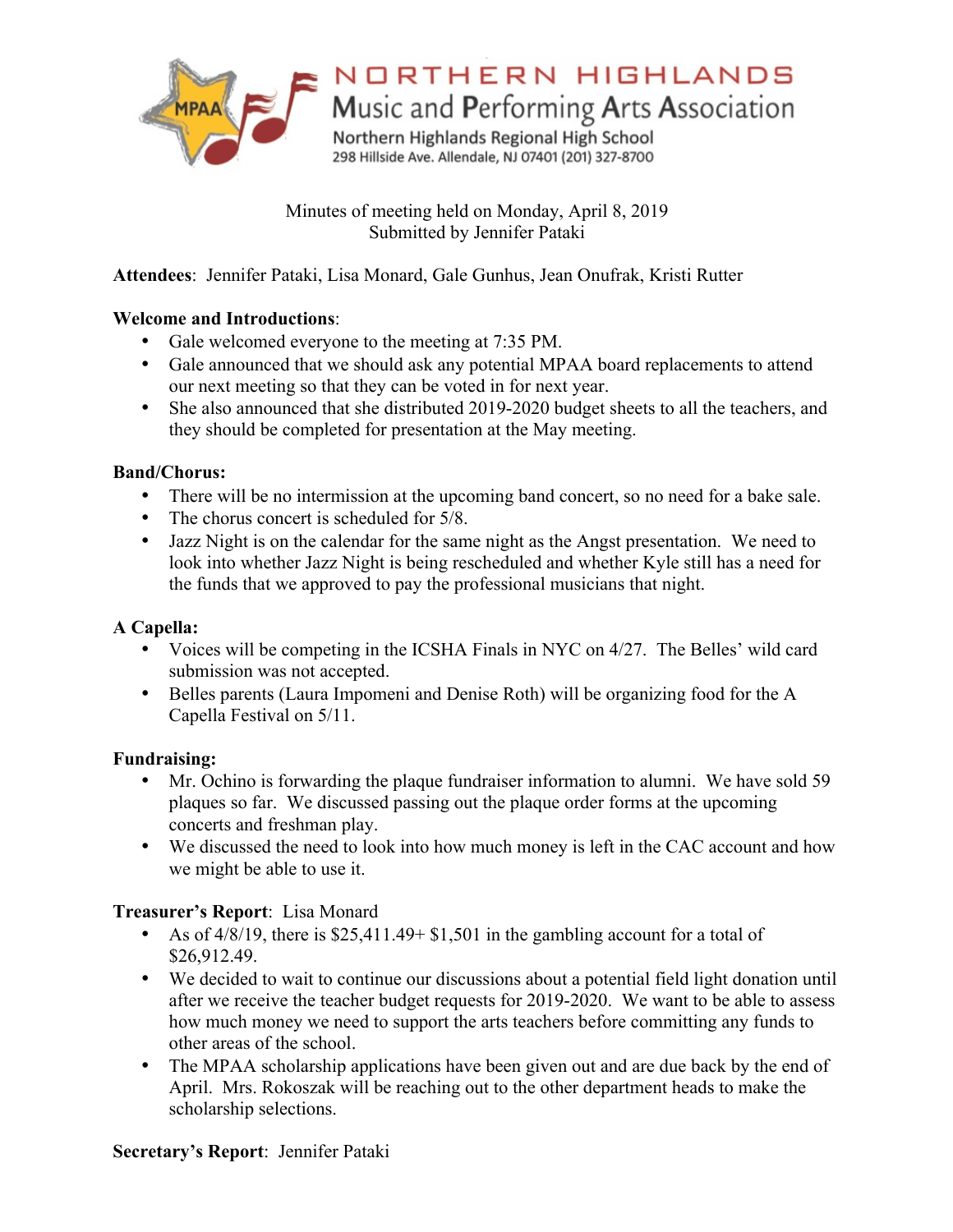

# NORTHERN HIGHLANDS

Music and Performing Arts Association

Northern Highlands Regional High School 298 Hillside Ave. Allendale, NJ 07401 (201) 327-8700

Minutes of meeting held on Monday, April 8, 2019 Submitted by Jennifer Pataki

**Attendees**: Jennifer Pataki, Lisa Monard, Gale Gunhus, Jean Onufrak, Kristi Rutter

#### **Welcome and Introductions**:

- Gale welcomed everyone to the meeting at 7:35 PM.
- Gale announced that we should ask any potential MPAA board replacements to attend our next meeting so that they can be voted in for next year.
- She also announced that she distributed 2019-2020 budget sheets to all the teachers, and they should be completed for presentation at the May meeting.

#### **Band/Chorus:**

- There will be no intermission at the upcoming band concert, so no need for a bake sale.
- The chorus concert is scheduled for  $5/8$ .
- Jazz Night is on the calendar for the same night as the Angst presentation. We need to look into whether Jazz Night is being rescheduled and whether Kyle still has a need for the funds that we approved to pay the professional musicians that night.

# **A Capella:**

- Voices will be competing in the ICSHA Finals in NYC on 4/27. The Belles' wild card submission was not accepted.
- Belles parents (Laura Impomeni and Denise Roth) will be organizing food for the A Capella Festival on 5/11.

# **Fundraising:**

- Mr. Ochino is forwarding the plaque fundraiser information to alumni. We have sold 59 plaques so far. We discussed passing out the plaque order forms at the upcoming concerts and freshman play.
- We discussed the need to look into how much money is left in the CAC account and how we might be able to use it.

#### **Treasurer's Report**: Lisa Monard

- As of 4/8/19, there is \$25,411.49+ \$1,501 in the gambling account for a total of \$26,912.49.
- We decided to wait to continue our discussions about a potential field light donation until after we receive the teacher budget requests for 2019-2020. We want to be able to assess how much money we need to support the arts teachers before committing any funds to other areas of the school.
- The MPAA scholarship applications have been given out and are due back by the end of April. Mrs. Rokoszak will be reaching out to the other department heads to make the scholarship selections.

# **Secretary's Report**: Jennifer Pataki